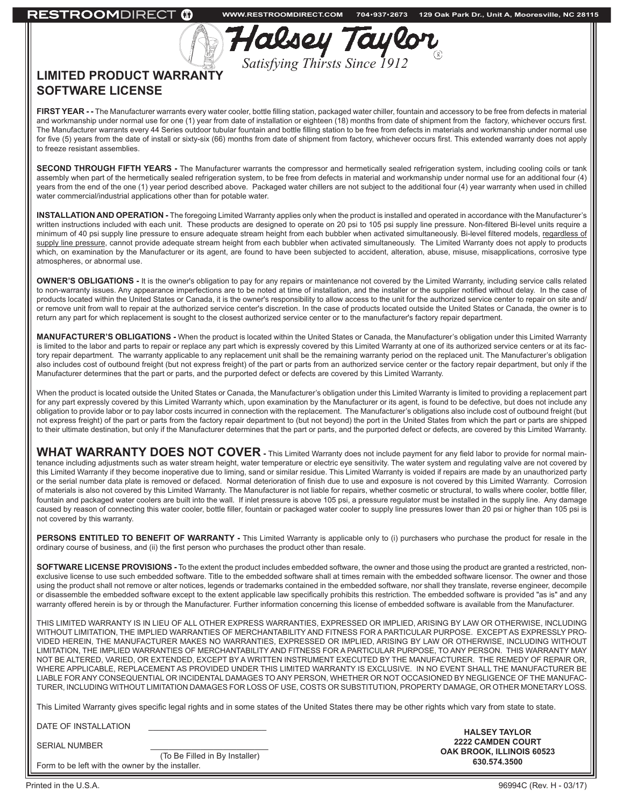| MDIRECT (D | <b>WWW.RESTROOMDIRECT.COM</b>                         | 704+937+2673 | 129 Oak Park Dr., Unit A, Mooresville, NC 28115 |  |
|------------|-------------------------------------------------------|--------------|-------------------------------------------------|--|
| W          | Halsey Taylor<br><b>Satisfying Thirsts Since 1912</b> |              |                                                 |  |
|            |                                                       |              |                                                 |  |

## **LIMITED PRODUCT WARRANTY SOFTWARE LICENSE**

**RESTROC** 

**FIRST YEAR - -** The Manufacturer warrants every water cooler, bottle filling station, packaged water chiller, fountain and accessory to be free from defects in material and workmanship under normal use for one (1) year from date of installation or eighteen (18) months from date of shipment from the factory, whichever occurs first. The Manufacturer warrants every 44 Series outdoor tubular fountain and bottle filling station to be free from defects in materials and workmanship under normal use for five (5) years from the date of install or sixty-six (66) months from date of shipment from factory, whichever occurs first. This extended warranty does not apply to freeze resistant assemblies.

**SECOND THROUGH FIFTH YEARS -** The Manufacturer warrants the compressor and hermetically sealed refrigeration system, including cooling coils or tank assembly when part of the hermetically sealed refrigeration system, to be free from defects in material and workmanship under normal use for an additional four (4) years from the end of the one (1) year period described above. Packaged water chillers are not subject to the additional four (4) year warranty when used in chilled water commercial/industrial applications other than for potable water.

**INSTALLATION AND OPERATION -** The foregoing Limited Warranty applies only when the product is installed and operated in accordance with the Manufacturer's written instructions included with each unit. These products are designed to operate on 20 psi to 105 psi supply line pressure. Non-filtered Bi-level units require a minimum of 40 psi supply line pressure to ensure adequate stream height from each bubbler when activated simultaneously. Bi-level filtered models, regardless of supply line pressure, cannot provide adequate stream height from each bubbler when activated simultaneously. The Limited Warranty does not apply to products which, on examination by the Manufacturer or its agent, are found to have been subjected to accident, alteration, abuse, misuse, misapplications, corrosive type atmospheres, or abnormal use.

**OWNER'S OBLIGATIONS -** It is the owner's obligation to pay for any repairs or maintenance not covered by the Limited Warranty, including service calls related to non-warranty issues. Any appearance imperfections are to be noted at time of installation, and the installer or the supplier notified without delay. In the case of products located within the United States or Canada, it is the owner's responsibility to allow access to the unit for the authorized service center to repair on site and/ or remove unit from wall to repair at the authorized service center's discretion. In the case of products located outside the United States or Canada, the owner is to return any part for which replacement is sought to the closest authorized service center or to the manufacturer's factory repair department.

**MANUFACTURER'S OBLIGATIONS -** When the product is located within the United States or Canada, the Manufacturer's obligation under this Limited Warranty is limited to the labor and parts to repair or replace any part which is expressly covered by this Limited Warranty at one of its authorized service centers or at its factory repair department. The warranty applicable to any replacement unit shall be the remaining warranty period on the replaced unit. The Manufacturer's obligation also includes cost of outbound freight (but not express freight) of the part or parts from an authorized service center or the factory repair department, but only if the Manufacturer determines that the part or parts, and the purported defect or defects are covered by this Limited Warranty.

When the product is located outside the United States or Canada, the Manufacturer's obligation under this Limited Warranty is limited to providing a replacement part for any part expressly covered by this Limited Warranty which, upon examination by the Manufacturer or its agent, is found to be defective, but does not include any obligation to provide labor or to pay labor costs incurred in connection with the replacement. The Manufacturer's obligations also include cost of outbound freight (but not express freight) of the part or parts from the factory repair department to (but not beyond) the port in the United States from which the part or parts are shipped to their ultimate destination, but only if the Manufacturer determines that the part or parts, and the purported defect or defects, are covered by this Limited Warranty.

WHAT WARRANTY DOES NOT COVER - This Limited Warranty does not include payment for any field labor to provide for normal maintenance including adjustments such as water stream height, water temperature or electric eye sensitivity. The water system and regulating valve are not covered by this Limited Warranty if they become inoperative due to liming, sand or similar residue. This Limited Warranty is voided if repairs are made by an unauthorized party or the serial number data plate is removed or defaced. Normal deterioration of finish due to use and exposure is not covered by this Limited Warranty. Corrosion of materials is also not covered by this Limited Warranty. The Manufacturer is not liable for repairs, whether cosmetic or structural, to walls where cooler, bottle filler, fountain and packaged water coolers are built into the wall. If inlet pressure is above 105 psi, a pressure regulator must be installed in the supply line. Any damage caused by reason of connecting this water cooler, bottle filler, fountain or packaged water cooler to supply line pressures lower than 20 psi or higher than 105 psi is not covered by this warranty.

PERSONS ENTITLED TO BENEFIT OF WARRANTY - This Limited Warranty is applicable only to (i) purchasers who purchase the product for resale in the ordinary course of business, and (ii) the first person who purchases the product other than resale.

**SOFTWARE LICENSE PROVISIONS -** To the extent the product includes embedded software, the owner and those using the product are granted a restricted, nonexclusive license to use such embedded software. Title to the embedded software shall at times remain with the embedded software licensor. The owner and those using the product shall not remove or alter notices, legends or trademarks contained in the embedded software, nor shall they translate, reverse engineer, decompile or disassemble the embedded software except to the extent applicable law specifically prohibits this restriction. The embedded software is provided "as is" and any warranty offered herein is by or through the Manufacturer. Further information concerning this license of embedded software is available from the Manufacturer.

THIS LIMITED WARRANTY IS IN LIEU OF ALL OTHER EXPRESS WARRANTIES, EXPRESSED OR IMPLIED, ARISING BY LAW OR OTHERWISE, INCLUDING WITHOUT LIMITATION, THE IMPLIED WARRANTIES OF MERCHANTABILITY AND FITNESS FOR A PARTICULAR PURPOSE. EXCEPT AS EXPRESSLY PRO-VIDED HEREIN, THE MANUFACTURER MAKES NO WARRANTIES, EXPRESSED OR IMPLIED, ARISING BY LAW OR OTHERWISE, INCLUDING WITHOUT LIMITATION, THE IMPLIED WARRANTIES OF MERCHANTABILITY AND FITNESS FOR A PARTICULAR PURPOSE, TO ANY PERSON. THIS WARRANTY MAY NOT BE ALTERED, VARIED, OR EXTENDED, EXCEPT BY A WRITTEN INSTRUMENT EXECUTED BY THE MANUFACTURER. THE REMEDY OF REPAIR OR, WHERE APPLICABLE, REPLACEMENT AS PROVIDED UNDER THIS LIMITED WARRANTY IS EXCLUSIVE. IN NO EVENT SHALL THE MANUFACTURER BE LIABLE FOR ANY CONSEQUENTIAL OR INCIDENTAL DAMAGES TO ANY PERSON, WHETHER OR NOT OCCASIONED BY NEGLIGENCE OF THE MANUFAC-TURER, INCLUDING WITHOUT LIMITATION DAMAGES FOR LOSS OF USE, COSTS OR SUBSTITUTION, PROPERTY DAMAGE, OR OTHER MONETARY LOSS.

This Limited Warranty gives specific legal rights and in some states of the United States there may be other rights which vary from state to state.

DATE OF INSTALLATION

SERIAL NUMBER

 (To Be Filled in By Installer) Form to be left with the owner by the installer.

**HALSEY TAYLOR 2222 CAMDEN COURT OAK BROOK, ILLINOIS 60523 630.574.3500**